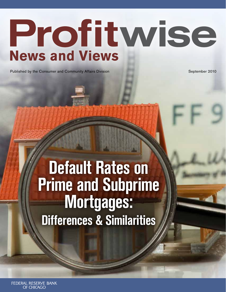# Profitwise **News and Views**

Published by the Consumer and Community Affairs Division September 2010

# **Default Rates on Prime and Subprime Mortgages: Differences & Similarities**

FEDERAL RESERVE BANK OF CHICAGO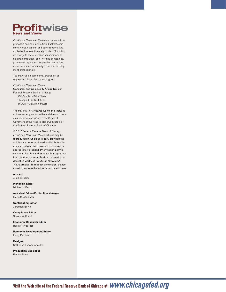#### **Profitwise News and Views**

Profitwise News and Views welcomes article proposals and comments from bankers, community organizations, and other readers. It is mailed (either electronically or via U.S. mail) at no charge to state member banks, financial holding companies, bank holding companies, government agencies, nonprofit organizations, academics, and community economic development professionals.

You may submit comments, proposals, or request a subscription by writing to:

Profitwise News and Views Consumer and Community Affairs Division Federal Reserve Bank of Chicago 230 South LaSalle Street Chicago, IL 60604-1413 or CCA-PUBS@chi.frb.org

The material in Profitwise News and Views is not necessarily endorsed by and does not necessarily represent views of the Board of Governors of the Federal Reserve System or the Federal Reserve Bank of Chicago.

© 2010 Federal Reserve Bank of Chicago Profitwise News and Views articles may be reproduced in whole or in part, provided the articles are not reproduced or distributed for commercial gain and provided the source is appropriately credited. Prior written permission must be obtained for any other reproduction, distribution, republication, or creation of derivative works of Profitwise News and Views articles. To request permission, please e-mail or write to the address indicated above.

Advisor

Alicia Williams

Managing Editor Michael V. Berry

Assistant Editor/Production Manager Mary Jo Cannistra

Contributing Editor Jeremiah Boyle

Compliance Editor Steven W. Kuehl

Economic Research Editor Robin Newberger

Economic Development Editor Harry Pestine

Designer Katherine Theoharopoulos

Production Specialist Edwina Davis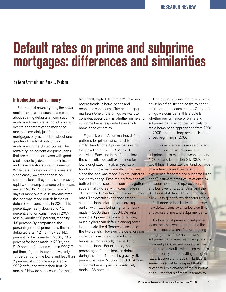# **Default rates on prime and subprime mortgages: differences and similarities**

by Gene Amromin and Anna L. Paulson

#### **Introduction and summary**

For the past several years, the news media have carried countless stories about soaring defaults among subprime mortgage borrowers. Although concern over this segment of the mortgage market is certainly justified, subprime mortgages only account for about onequarter of the total outstanding mortgages in the United States. The remaining 75 percent are prime loans that are made to borrowers with good credit, who fully document their income and make traditional down payments. While default rates on prime loans are significantly lower than those on subprime loans, they are also increasing rapidly. For example, among prime loans made in 2005, 2.2 percent were 60 days or more overdue 12 months after the loan was made (our definition of default). For loans made in 2006, this percentage nearly doubled to 4.2 percent, and for loans made in 2007 it rose by another 20 percent, reaching 4.8 percent. By comparison, the percentage of subprime loans that had defaulted after 12 months was 14.6 percent for loans made in 2005, 20.5 percent for loans made in 2006, and 21.9 percent for loans made in 2007. To put these figures in perspective, only 1.4 percent of prime loans and less than 7 percent of subprime originated in 2002 defaulted within their first 12 months.<sup>1</sup> How do we account for these

historically high default rates? How have recent trends in home prices and economic conditions affected mortgage markets? One of the things we want to consider, specifically, is whether prime and subprime loans responded similarly to home price dynamics.

Figure 1, panel A summarizes default patterns for prime loans; panel B reports similar trends for subprime loans using loan-level data from LPS Applied Analytics. Each line in the figure shows the cumulative default experience for loans originated in a given year as a function of how many months it has been since the loan was made. Several patterns are worth noting. First, the performance of both prime and subprime loans has gotten substantially worse, with loans made in 2006 and 2007 defaulting at much higher rates. The default experience among subprime loans started deteriorating earlier, with rates being higher for loans made in 2005 than in 2004. Defaults among subprime loans are, of course, much higher than defaults among prime loans – note the difference in scales of the two panels. However, the deterioration in the performance of prime loans happened more rapidly than it did for subprime loans. For example, the percentage of prime loans in default during their first 12 months grew by 95 percent between 2005 and 2006. Among subprime loans it grew by a relatively modest 53 percent.

Home prices clearly play a key role in households' ability and desire to honor their mortgage commitments. One of the things we consider in this article is whether performance of prime and subprime loans responded similarly to rapid home price appreciation from 2002 to 2005, and the sharp reversal in home prices beginning in 2006.

 In this article, we make use of loanlevel data on individual prime and subprime loans made between January 1, 2004, and December 31, 2007, to do two things: 1) analyze loan (and borrower) characteristics and the default experience for prime and subprime loans; and 2) estimate empirical relationships between home price appreciation, loan and borrower characteristics, and the likelihood of default. These estimates allow us to quantify which factors make default more or less likely and to examine how default sensitivity varies over time and across prime and subprime loans.

By looking at prime and subprime loans together, we hope to refine the possible explanations for the ongoing mortgage crisis.2 Both prime and subprime loans have seen rising defaults in recent years, as well as very similar patterns of defaults, with loans made in more recent years defaulting at higher rates. Because of these similarities, it seems reasonable to expect that a successful explanation of the subprime crisis – the focus of most research to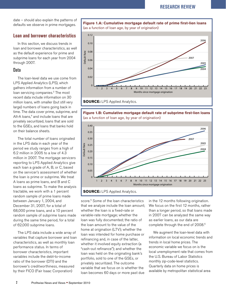date – should also explain the patterns of defaults we observe in prime mortgages.

#### **Loan and borrower characteristics**

In this section, we discuss trends in loan and borrower characteristics, as well as the default experience for prime and subprime loans for each year from 2004 through 2007.

#### Data

The loan-level data we use come from LPS Applied Analytics (LPS), which gathers information from a number of loan servicing companies.3 The most recent data include information on 30 million loans, with smaller (but still very large) numbers of loans going back in time. The data cover prime, subprime, and Alt-A loans,<sup>4</sup> and include loans that are privately securitized, loans that are sold to the GSEs, and loans that banks hold on their balance sheets.

The total number of loans originated in the LPS data in each year of the period we study ranges from a high of 6.2 million in 2005 to a low of 4.3 million in 2007. The mortgage servicers reporting to LPS Applied Analytics give each loan a grade of A, B, or C, based on the servicer's assessment of whether the loan is prime or subprime. We treat A loans as prime loans, and B and C loans as subprime. To make the analysis tractable, we work with a 1 percent random sample of prime loans made between January 1, 2004, and December 31, 2007, for a total of 68,000 prime loans, and a 10 percent random sample of subprime loans made during the same time period, for a total of 62,000 subprime loans.

The LPS data include a wide array of variables that capture borrower and loan characteristics, as well as monthly loan performance status. In terms of borrower characteristics, important variables include the debt-to-income ratio of the borrower (DTI) and the borrower's creditworthiness, measured by their FICO (Fair Isaac Corporation)

**Figure 1.A: Cumulative mortgage default rate of prime first-lien loans** (as a function of loan age, by year of origination)



**Figure 1.B: Cumulative mortgage default rate of subprime first-lien loans** (as a function of loan age, by year of origination)



score.<sup>5</sup> Some of the loan characteristics that we analyze include the loan amount; whether the loan is a fixed-rate or variable-rate mortgage; whether the loan was fully documented; the ratio of the loan amount to the value of the home at origination (LTV); whether the loan was intended for home purchase or refinancing and, in case of the latter, whether it involved equity extraction (a "cash-out refinance"); and whether the loan was held on the originating bank's portfolio, sold to one of the GSEs, or privately securitized. The outcome variable that we focus on is whether the loan becomes 60 days or more past due

in the 12 months following origination. We focus on the first 12 months, rather than a longer period, so that loans made in 2007 can be analyzed the same way as earlier loans, as our data are complete through the end of 2008.<sup>6</sup>

We augment the loan-level data with information on local economic trends and trends in local home prices. The economic variable we focus on is the local unemployment rate that comes from the U.S. Bureau of Labor Statistics monthly zip-code-level statistics. Quarterly data on home prices is available by metropolitan statistical area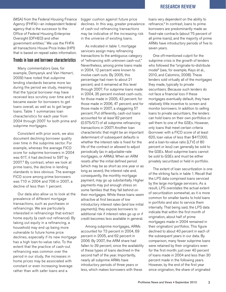(MSA) from the Federal Housing Finance Agency (FHFA)—an independent federal agency that is the successor to the Office of Federal Housing Enterprise Oversight (OFHEO) and other government entities.7 We use the FHFA all transactions House Price Index (HPI) that is based on repeat sales information.

#### Trends in loan and borrower characteristics

Many commentators (see, for example, Demyanyk and Van Hemert, 2009) have noted that subprime lending standards became more lax during the period we study, meaning that the typical borrower may have received less scrutiny over time and it became easier for borrowers to get loans overall, as well as to get larger loans. Table 1 summarizes loan characteristics for each year from 2004 through 2007 for both prime and subprime mortgages.

Consistent with prior work, we also document declining borrower quality over time in the subprime sector. For example, whereas the average FICO score for subprime borrowers in 2004 was 617, it had declined to 597 by 2007.8 By contrast, when we look at prime loans, the decline in lending standards is less obvious. The average FICO score among prime borrowers was 710 in 2004 and 706 in 2007, a decline of less than 1 percent.

Our data also allow us to look at the prevalence of different mortgage transactions, such as purchases or refinancings. We are particularly interested in refinancings that extract home equity (a cash-out refinance). By taking out equity in a refinancing, a household may end up being more vulnerable to future home price declines, especially if its new mortgage has a high loan-to-value ratio. To the extent that the practice of cash-out refinancing was common over the period in our study, the increases in home prices may be associated with constant or even increasing leverage rather than with safer loans and a

bigger cushion against future price declines. In this way, greater prevalence of cash-out refinancing transactions may be indicative of the increasing risk in the universe of existing loans.

As indicated in table 1, mortgage servicers assign many refinancing transactions to the ambiguous category of "refinancing with unknown cash-out." Nevertheless, among prime loans made in 2004, 12 percent were known to involve cash-outs. By 2005, this percentage had risen to about 21 percent, and it remained at this level through 2007. For subprime loans made in 2004, 35 percent involved cash-outs; for those made in 2005, 43 percent; for those made in 2006, 47 percent; and for those made in 2007, a staggering 57 percent. Put differently, cash-out loans accounted for at least 82 percent (0.575/0.7) of all subprime refinancing transactions in 2007! Another loan characteristic that might be an important determinant of subsequent defaults is whether the interest rate is fixed for the life of the contract or allowed to adjust periodically (as in adjustable-rate mortgages, or ARMs). When an ARM resets after the initial defined period (which may be as short as one year or as long as seven), the interest rate and, consequently, the monthly mortgage payment, may go up substantially. Higher payments may put enough stress on some families that they fall behind on their mortgages. While these loans seem attractive at first because of low introductory interest rates (and low initial payments), they expose borrowers to additional risk if interest rates go up or if credit becomes less available in general.

Among subprime mortgages, ARMs accounted for 73 percent in 2004, 69 percent in 2005, and 62 percent in 2006. By 2007, the ARM share had fallen to 39 percent, since the availability of these types of loans declined in the second half of the year. Importantly, nearly all subprime ARMs have introductory periods of three years or less, which makes borrowers with these

#### **RESEARCH REVIEW**

loans very dependent on the ability to refinance.<sup>9</sup> In contrast, loans to prime borrowers are predominantly made as fixed-rate contracts (about 75 percent of all prime loans), and the majority of prime ARMs have introductory periods of five to seven years.

One oft-mentioned culprit for the subprime crisis is the growth of lenders who followed the "originate-to-distribute" model" (see, for example, Keys et al., 2010, and Calomiris, 2008). These lenders sold virtually all of the mortgages they made, typically to private securitizers. Because such lenders do not face a financial loss if these mortgages eventually default, they have relatively little incentive to screen and monitor borrowers. In addition to selling loans to private securitizers, the lenders can hold loans on their own portfolios or sell them to one of the GSEs. However, only loans that meet certain criteria (borrower with a FICO score of at least 620, loan value of less than \$417,000, and a loan-to-value ratio [LTV] of 80 percent or less) can generally be sold to the GSEs. Most subprime loans cannot be sold to GSEs and must be either privately securitized or held in portfolio.

The extent of loan securitization is one of the striking facts in table 1. Recall that the LPS data comprised loans serviced by the large mortgage servicers. As a result, LPS overstates the actual extent of securitization somewhat, as it is more common for smaller banks to hold loans in portfolio and also to service them internally. That being said, the LPS data indicate that within the first month of origination, about half of prime mortgages made in 2004 remained in their originators' portfolios. This figure declined to about 40 percent in each of the subsequent years in our data. By comparison, many fewer subprime loans were retained by their originators even for the first month: just over 40 percent of loans made in 2004 and less than 30 percent made in the following years. However, by the end of the first year since origination, the share of originated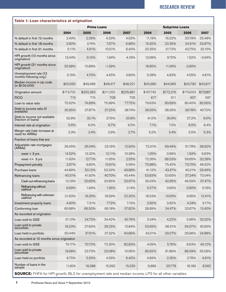| Table 1: Loan characteristics at origination        |                    |           |           |                       |           |           |           |           |
|-----------------------------------------------------|--------------------|-----------|-----------|-----------------------|-----------|-----------|-----------|-----------|
|                                                     | <b>Prime Loans</b> |           |           | <b>Subprime Loans</b> |           |           |           |           |
|                                                     | 2004               | 2005      | 2006      | 2007                  | 2004      | 2005      | 2006      | 2007      |
| % default in first 12 months                        | 2.43%              | 2.39%     | 4.33%     | 4.93%                 | 11.19%    | 16.22%    | 23.79%    | 25.48%    |
| % default in first 18 months                        | 3.90%              | 3.74%     | 7.67%     | 6.86%                 | 15.92%    | 23.35%    | 34.91%    | 33.87%    |
| % default in first 21 months                        | 5.11%              | 4.91%     | 10.51%    | 6.40%                 | 23.35%    | 31.72%    | 43.75%    | 32.15%    |
| HPI growth (12 months since<br>origination)         | 13.44%             | 9.10%     | 1.94%     | $-4.19%$              | 13.99%    | 9.70%     | 1.52%     | $-3.94%$  |
| HPI growth (21 months since<br>origination)         | 20.98%             | 10.89%    | $-1.39%$  |                       | 18.85%    | 11.06%    | $-2.80\%$ |           |
| Unemployment rate (12<br>months following orig.)    | 5.15%              | 4.70%     | 4.45%     | 4.80%                 | 5.28%     | 4.83%     | 4.55%     | 4.81%     |
| Median income in zip code<br>(in \$100,000)         | \$50,065           | \$49,486  | \$48,417  | \$48,221              | \$45,980  | \$44,965  | \$43,790  | \$43,817  |
| Origination amount                                  | \$173,702          | \$200,383 | \$211,052 | \$205,881             | \$167,742 | \$172,316 | \$179,003 | \$172,667 |
| <b>FICO</b>                                         | 710                | 715       | 708       | 706                   | 617       | 611       | 607       | 597       |
| Loan to value ratio                                 | 75.92%             | 74.89%    | 75.99%    | 77.75%                | 79.63%    | 80.69%    | 80.40%    | 80.56%    |
| Debt to income ratio (if<br>available)              | 35.95%             | 37.87%    | 37.25%    | 38.74%                | 39.55%    | 38.35%    | 39.78%    | 40.72%    |
| Debt to income not available<br>(fraction of loans) | 52.8%              | 32.1%     | 27.6%     | 20.8%                 | 41.0%     | 30.9%     | 27.2%     | 8.0%      |
| Interest rate at origination                        | 5.6%               | 6.0%      | 6.7%      | 6.5%                  | 7.1%      | 7.5%      | 8.5%      | 8.4%      |
| Margin rate (rate increase at<br>reset for ARMs)    | 2.3%               | 2.4%      | 2.9%      | 2.7%                  | 5.2%      | 5.4%      | 5.5%      | 5.3%      |
| Fraction of loans that are:                         |                    |           |           |                       |           |           |           |           |
| Adjustable rate mortgages<br>(ARMs)                 | 26.45%             | 26.04%    | 23.16%    | 12.93%                | 73.31%    | 69.49%    | 61.78%    | 38.92%    |
| reset > 3 yrs                                       | 14.52%             | 13.32%    | 12.11%    | 10.38%                | 1.05%     | 0.96%     | 1.93%     | 6.63%     |
| reset $\leq$ 3 yrs                                  | 11.93%             | 12.71%    | 11.05%    | 2.55%                 | 72.26%    | 68.53%    | 59.85%    | 32.28%    |
| Prepayment penalty                                  | 2.67%              | 9.82%     | 10.91%    | 5.56%                 | 70.98%    | 75.42%    | 73.70%    | 48.52%    |
| Purchase loans                                      | 44.89%             | 50.12%    | 53.33%    | 49.68%                | 41.12%    | 43.47%    | 40.21%    | 29.46%    |
| Refinancing loans                                   | 40.51%             | 41.92%    | 40.70%    | 45.44%                | 53.83%    | 53.65%    | 57.34%    | 70.04%    |
| Cash out refinancing loans                          | 12.19%             | 20.65%    | 20.85%    | 20.97%                | 35.03%    | 42.95%    | 46.59%    | 57.47%    |
| Refinancing without<br>cashout                      | 6.69%              | 1.93%     | 1.26%     | 2.14%                 | 0.27%     | 0.65%     | 0.80%     | 0.16%     |
| Refinancing with unknown<br>cashout                 | 21.63%             | 19.35%    | 18.59%    | 22.32%                | 18.53%    | 10.05%    | 9.95%     | 12.41%    |
| Investment property loans                           | 4.90%              | 7.31%     | 7.72%     | 7.15%                 | 2.82%     | 3.82%     | 4.24%     | 3.17%     |
| Conforming loan                                     | 60.68%             | 66.50%    | 66.18%    | 57.82%                | 28.89%    | 24.47%    | 23.67%    | 13.40%    |
| As recorded at origination                          |                    |           |           |                       |           |           |           |           |
| Loan sold to GSE                                    | 31.10%             | 34.75%    | 34.42%    | 45.76%                | 3.34%     | 4.22%     | 5.96%     | 32.52%    |
| Loan sold to private<br>securitizer                 | 18.20%             | 27.63%    | 28.25%    | 12.84%                | 53.65%    | 66.51%    | 64.07%    | 42.60%    |
| Loan held in portfolio                              | 50.44%             | 37.61%    | 37.32%    | 40.66%                | 43.01%    | 29.27%    | 29.96%    | 24.88%    |
| As recorded at 12 months since origination          |                    |           |           |                       |           |           |           |           |
| Loan sold to GSE                                    | 74.17%             | 70.72%    | 72.30%    | 82.83%                | 4.09%     | 5.76%     | 8.63%     | 40.12%    |
| Loan sold to private<br>securitizer                 | 19.08%             | 23.73%    | 23.08%    | 10.56%                | 90.92%    | 91.89%    | 88.59%    | 55.06%    |
| Loan held on portfolio                              | 6.75%              | 5.55%     | 4.56%     | 6.40%                 | 4.99%     | 2.35%     | 2.78%     | 4.81%     |
| Number of loans in the<br>sample                    | 11,604             | 18,388    | 15,992    | 15,039                | 6,889     | 20,778    | 18,189    | 8,562     |

**SOURCE:** FHFA for HPI growth, BLS for unemployment rate and median income, LPS for all other variables.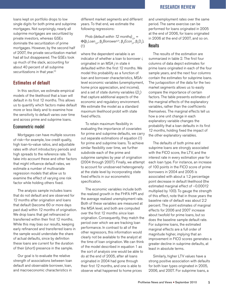loans kept on portfolio drops to low single digits for both prime and subprime mortgages. Not surprisingly, nearly all subprime mortgages are securitized by private investors, whereas GSEs dominate the securitization of prime mortgages. However, by the second half of 2007, the private securitization market had all but disappeared. The GSEs took up much of the slack, accounting for about 40 percent of all subprime securitizations in that year.<sup>10</sup>

#### **Estimates of default**

In this section, we estimate empirical models of the likelihood that a loan will default in its first 12 months. This allows us to quantify which factors make default more or less likely and to examine how the sensitivity to default varies over time and across prime and subprime loans.

#### Econometric model

Mortgages can have multiple sources of risk—for example, low credit quality, high loan-to-value ratios, and adjustable rates with short introductory periods and high spreads to the reference rate. To take into account these and other factors that might influence default rates, we estimate a number of multivariate regression models that allow us to examine the effect of varying one risk factor while holding others fixed.

The analysis sample includes loans that do not default and are observed for 12 months after origination and loans that default (become 60 or more days past due) within 12 months of origination. We drop loans that get refinanced or transferred within their first 12 months. While this may bias our results, keeping early refinanced and transferred loans in the sample would understate the share of actual defaults, since by definition these loans are current for the duration of their (short) presence in the sample.

Our goal is to evaluate the relative strength of associations between loan default and observable borrower, loan, and macroeconomic characteristics in

different market segments and different years. To that end, we estimate the following regressions:

Prob (default within 12 months) $\sum_{i,k}$  =  $\Phi(\beta_1 L$ oan $_{\mathsf{i}, \mathsf{j}, \mathsf{k}}, \beta_2 B$ orrower $^{\mathsf{i}, \mathsf{j}, \mathsf{k}}, \beta_3 E$ con $_{\mathsf{j}, \mathsf{k}}, \beta_4 \mathsf{D}_\mathsf{k}$ ), (1)

where the dependent variable is an indicator of whether a loan to borrower  $i$ , originated in an MSA  $i$  in state  $k$ defaulted within the first 12 months. We model this probability as a function of loan and borrower characteristics, MSAlevel economic variables (unemployment, home price appreciation, and income), and a set of state dummy variables  $(D_{\kappa})$ that capture additional aspects of the economic and regulatory environment. We estimate the model as a standard maximum likelihood probit with state fixed effects.

To retain maximum flexibility in evaluating the importance of covariates for prime and subprime defaults, we carry out separate estimations of equation (1) for prime and subprime loans. To achieve similar flexibility over time, we further subdivide each of the prime and subprime samples by year of origination (2004 through 2007). Finally, we attempt to account for unobserved heterogeneity at the state level by incorporating state fixed effects in our econometric specification.

The economic variables include both the realized growth in the FHFA HPI and the average realized unemployment rate. Both of these variables are measured at the MSA level, and both are computed over the first 12 months since loan origination. Consequently, they match the period over which we are tracking loan performance. In contrast to all of the other regressors, this information would clearly not be available to the analyst at the time of loan origination. We can think of the model described in equation 1 as the sort of analysis one would be able to do at the end of 2005, after all loans originated in 2004 had gone through their first 12 months, and one is able to observe what happened to home prices

#### **RESEARCH REVIEW**

and unemployment rates over the same period. The same exercise can be performed for loans originated in 2005 at the end of 2006, for loans originated in 2006 at the end of 2007, and so on.

#### **Results**

The results of the estimation are summarized in table 2. The first four columns of data depict estimates for prime loans originated in each of the four sample years, and the next four columns contain the estimates for subprime loans. The juxtaposition of the data for the two market segments allows us to easily compare the importance of certain factors. The table presents estimates of the marginal effects of the explanatory variables, rather than the coefficients themselves. The marginal effects tell us how a one unit change in each explanatory variable changes the probability that a loan defaults in its first 12 months, holding fixed the impact of the other explanatory variables.

The defaults of both prime and subprime loans are strongly associated with the FICO score, the LTV, and the interest rate in every estimation year for each loan type. For instance, an increase of 100 points in the FICO score of prime borrowers in 2004 and 2005 is associated with about a 1.2 percentage point decrease in default likelihood (the estimated marginal effect of –0.00012 multiplied by 100). To gauge the strength of this effect, note that in those years the baseline rate of default was about 2.2 percent. The point estimates of marginal effects for 2006 and 2007 increase about twofold for prime loans, but so does the baseline sample default rate. For subprime loans, the estimated marginal effects are a full order of magnitude higher, implying that an improvement in FICO scores generates a greater decline in subprime defaults, at least in absolute terms.

Similarly, higher LTV values have a strong positive association with defaults for both loan types originated in 2005, 2006, and 2007. For subprime loans, a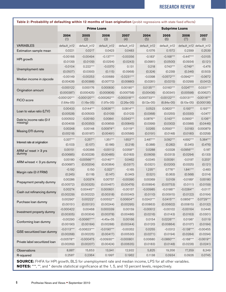#### **RESEARCH REVIEW**

| Table 2: Probability of defaulting within 12 months of loan origination (probit regressions with state fixed effects) |                           |                            |                           |                         |                    |                       |                           |                        |
|-----------------------------------------------------------------------------------------------------------------------|---------------------------|----------------------------|---------------------------|-------------------------|--------------------|-----------------------|---------------------------|------------------------|
|                                                                                                                       | <b>Prime Loans</b>        |                            |                           | <b>Subprime Loans</b>   |                    |                       |                           |                        |
|                                                                                                                       | 2004<br>(1)               | 2005<br>(2)                | 2006<br>(3)               | 2007<br>(4)             | 2004<br>(5)        | 2005<br>(6)           | 2006<br>(7)               | 2007<br>(8)            |
| <b>VARIABLES</b>                                                                                                      | default_in12              | default_in12               | default_in12              | default_in12            | default_in12       | default_in12          | default_in12 default_in12 |                        |
| Estimation sample mean                                                                                                | 0.0221                    | 0.0217                     | 0.0423                    | 0.0483                  | 0.1076             | 0.1572                | 0.2399                    | 0.2539                 |
|                                                                                                                       | $-0.00166$                | $-0.00494$                 | $-0.137***$               | $-0.00356$              | $-0.183*$          | $-0.168***$           | $-0.447***$               | $-0.0105$              |
| HPI growth                                                                                                            | (0.0139)                  | (0.0109)                   | (0.0294)                  | (0.0243)                | (0.0981)           | (0.0500)              | (0.0934)                  | (0.121)                |
| Unemployment rate                                                                                                     | $-0.0104$                 | $0.222***$                 | $-0.0370$                 | 0.131                   | 0.218              | $0.743***$            | $-0.749**$                | $-0.476$               |
|                                                                                                                       | (0.0507)                  | (0.0393)                   | (0.115)                   | (0.0968)                | (0.324)            | (0.239)               | (0.346)                   | (0.503)                |
| Median income in zipcode                                                                                              | $-0.00149$                | $-0.00253$                 | $-0.00689$                | $-0.0231***$            | $-0.0398$          | $-0.0572***$          | $-0.0942***$              | $-0.0672$              |
|                                                                                                                       | (0.00428)                 | (0.00388)                  | (0.00772)                 | (0.00880)               | (0.0281)           | (0.0215)              | (0.0299)                  | (0.0412)               |
| Origination amount                                                                                                    | $-0.000122$               | 0.000176                   | 0.000830                  | $0.00190**$             | $0.0135***$        | $0.0160***$           | $0.0247***$               | $0.0331***$            |
|                                                                                                                       | (0.000387)                | (0.000425)                 | (0.000806)                | (0.000758)              | (0.00436)          | (0.00341)             | (0.00598)                 | (0.00627)              |
| FICO score                                                                                                            | $-0.000120***$            | $-0.000120***$             | $-0.000262***$            | $-0.000318***$          | $-0.000733***$     | $-0.00122***$         | $-0.00131***$             | $-0.00116***$          |
|                                                                                                                       | $(1.64e-05)$              | $(1.16e-05)$               | $(1.97e-05)$              | $(2.26e-05)$            | $(9.12e-05)$       | $(6.84e-05)$          | $(9.10e-05)$              | (0.000136)             |
| Loan to value ratio (LTV)                                                                                             | 0.00433                   | $0.0144***$                | $0.0636***$               | $0.0814***$             | 0.0523             | $0.0820***$           | $0.193***$                | $0.193***$             |
|                                                                                                                       | (0.00528)                 | (0.00500)                  | (0.0109)                  | (0.0123)                | (0.0368)           | (0.0255)              | (0.0330)                  | $-0.0477$              |
| Debt to income ratio (0 if<br>missing)                                                                                | 0.000502                  | $-0.00160$                 | 0.00841                   | $0.0343***$             | $0.0876**$         | $0.143***$            | $0.0900**$                | $0.106**$              |
|                                                                                                                       | (0.00409)                 | (0.00350)                  | (0.00859)                 | (0.00845)               | (0.0399)           | (0.0302)              | (0.0388)                  | (0.0446)               |
| Missing DTI dummy                                                                                                     | 0.00248                   | 0.00148                    | $0.00974**$               | $0.0119**$              | 0.0265             | $0.0593***$           | 0.0183                    | 0.000879               |
|                                                                                                                       | (0.00218)                 | (0.00187)                  | (0.00491)                 | (0.00586)               | (0.0191)           | (0.0148)              | (0.0180)                  | (0.0258)               |
| Interest rate at origination                                                                                          | $0.337***$                | $0.257**$                  | $1.351***$                | $1.653***$              | $2.487***$         | $3.092***$            | 4.692***                  | 5.384***               |
|                                                                                                                       | (0.103)                   | (0.107)                    | (0.186)                   | (0.218)<br>$0.0358**$   | (0.388)            | (0.282)               | (0.345)<br>$-0.0956***$   | (0.476)                |
| ARM w/ reset > 3 yrs<br>dummy                                                                                         | 0.00151<br>(0.00685)      | $-0.00366$<br>(0.00228)    | $-0.00112$<br>(0.00485)   | (0.0183)                | 0.0288<br>(0.0609) | $-0.0328$<br>(0.0313) | (0.0294)                  | 0.187<br>(0.133)       |
|                                                                                                                       | 0.00180                   | $-0.00566***$              | $-0.0140***$              | 0.0462                  | $-0.0345$          | 0.00391               | $-0.0197$                 | $0.203*$               |
| ARM w/reset < 3 yrs dummy                                                                                             | (0.00687)                 | (0.00204)                  | (0.00364)                 | (0.0317)                | (0.0321)           | (0.0200)              | (0.0325)                  | (0.121)                |
|                                                                                                                       | $-0.192$                  | 0.150                      | $0.322**$                 | $-0.165$                | $1.235**$          | $0.776**$             | $1.841***$                | $-2.483$               |
| Margin rate (0 if FRM)                                                                                                | (0.245)                   | (0.118)                    | (0.147)                   | (0.340)                 | (0.521)            | (0.363)               | (0.568)                   | (2.014)                |
|                                                                                                                       | 0.00286                   | 0.00374                    | 0.00757                   | $-0.00390$              | 0.00369            | 0.0109                | $-0.0189*$                | 0.00180                |
| Prepayment penalty dummy                                                                                              | (0.00572)                 | (0.00325)                  | (0.00467)                 | (0.00476)               | (0.00894)          | (0.00753)             | (0.0111)                  | (0.0159)               |
| Cash out refinancing dummy                                                                                            | 0.00274                   | $0.00445**$                | 0.000601                  | $-0.00157$              | $-0.00985$         | $-0.0186**$           | $-0.0284**$               | $-0.0117$              |
|                                                                                                                       | (0.00229)                 | (0.00222)                  | (0.00318)                 | (0.00340)               | (0.0110)           | (0.00915)             | (0.0122)                  | (0.0164)               |
| Purchase loan dummy                                                                                                   | $0.00290*$                | $0.00222*$                 | $0.00552**$               | $0.00604**$             | $0.0243***$        | $0.0415***$           | $0.0856***$               | $0.0729***$            |
|                                                                                                                       | (0.00151)                 | (0.00131)                  | (0.00244)                 | (0.00295)               | (0.00863)          | (0.00602)             | (0.00815)                 | (0.0132)               |
| Investment property dummy                                                                                             | $-0.000422$               | 0.00468                    | 0.000339                  | 0.00159                 | $-0.00612$         | $-0.00102$            | $-0.00164$                | 0.0446                 |
|                                                                                                                       | (0.00305)                 | (0.00304)                  | (0.00378)                 | (0.00486)               | (0.0216)           | (0.0143)              | (0.0163)                  | (0.0301)               |
| Conforming loan dummy                                                                                                 | $-0.00290$                | $-0.00667***$              | $-4.45e-05$               | 0.00166                 | 0.0154             | $0.0226***$           | $0.0196*$                 | 0.0119                 |
|                                                                                                                       | (0.00190)                 | (0.00184)                  | (0.00288)                 | (0.00344)               | (0.0120)           | (0.00864)             | (0.0107)                  | (0.0184)               |
| GSE-securitized loan dummy                                                                                            | $-0.0113***$<br>(0.00268) | $-0.00623***$<br>(0.00225) | $-0.0190***$<br>(0.00417) | $-0.00352$<br>(0.00530) | 0.0255<br>(0.0271) | $-0.0312$<br>(0.0194) | $-0.138***$<br>(0.0284)   | $-0.00455$<br>(0.0294) |
|                                                                                                                       | $-0.00578**$              | $-0.000475$                | $-0.00930**$              | $-0.000801$             | 0.00680            | $-0.0860***$          | $-0.168***$               | $-0.0619**$            |
| Private label securitized loan                                                                                        | (0.00269)                 | (0.00207)                  | (0.00424)                 | (0.00635)               | (0.0183)           | (0.0148)              | (0.0228)                  | (0.0241)               |
| Observations                                                                                                          |                           | 15,653                     |                           |                         |                    |                       |                           |                        |
| R-squared                                                                                                             | 8,887<br>0.2587           | 0.2364                     | 13,941<br>0.1997          | 12,932<br>0.1962        | 5,825<br>0.1138    | 19,356<br>0.0934      | 17,359<br>0.0926          | 8,349<br>0.0745        |
|                                                                                                                       |                           |                            |                           |                         |                    |                       |                           |                        |

**SOURCE:** FHFA for HPI growth, BLS for unemployment rate and median income, LPS for all other variables. **NOTES:** \*\*\*, \*\*, and \* denote statistical significance at the 1, 5, and 10 percent levels, respectively.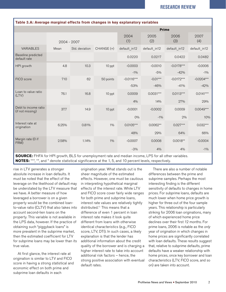| Table 3.A: Average marginal effects from changes in key explanatory variables |       |                |              |              |              |              |              |  |
|-------------------------------------------------------------------------------|-------|----------------|--------------|--------------|--------------|--------------|--------------|--|
|                                                                               |       |                |              | <b>Prime</b> |              |              |              |  |
| 2004 - 2007                                                                   |       |                | 2004<br>(1)  | 2005<br>(2)  | 2006<br>(3)  | 2007<br>(4)  |              |  |
| <b>VARIABLES</b>                                                              | Mean  | Std. deviation | $CHANGE (+)$ | default in12 | default in12 | default in12 | default in12 |  |
| Baseline predicted<br>default rate                                            |       |                |              | 0.0220       | 0.0217       | 0.0422       | 0.0482       |  |
| HPI growth                                                                    | 4.8   | 10.3           | 10 ppt       | $-0.0003$    | $-0.0010$    | $-0.0178***$ | $-0.0006$    |  |
|                                                                               |       |                |              | $-1\%$       | $-5%$        | $-42%$       | $-1\%$       |  |
| FICO score                                                                    | 710   | 62             | 50 points    | $-0.0116***$ | $-0.01***$   | $-0.0172***$ | $-0.0204***$ |  |
|                                                                               |       |                |              | $-53%$       | $-46%$       | $-41%$       | $-42%$       |  |
| Loan to value ratio<br>(LTV)                                                  | 76.1  | 16.8           | 10 ppt       | 0.0009       | $0.0031***$  | $0.0113***$  | $0.0141***$  |  |
|                                                                               |       |                |              | 4%           | 14%          | 27%          | 29%          |  |
| Debt to income ratio<br>(if not missing)                                      | 37.7  | 14.9           | 10 ppt       | $-0.0001$    | $-0.0002$    | 0.0009       | $0.0049***$  |  |
|                                                                               |       |                |              | 0%           | $-1\%$       | 2%           | 10%          |  |
| Interest rate at<br>origination                                               | 6.25% | 0.81%          | $1\%$        | $0.0105***$  | $0.0062**$   | $0.027***$   | $0.032***$   |  |
|                                                                               |       |                |              | 48%          | 29%          | 64%          | 66%          |  |
| Margin rate (0 if<br>FRM)                                                     | 2.58% | 1.14%          | $1\%$        | $-0.0007$    | 0.0008       | $0.0018**$   | $-0.0004$    |  |
|                                                                               |       |                |              | $-3%$        | 4%           | 4%           | $-1\%$       |  |

**SOURCE:** FHFA for HPI growth, BLS for unemployment rate and median income, LPS for all other variables. **NOTES:** \*\*\*, \*\*, and \* denote statistical significance at the 1, 5, and 10 percent levels, respectively.

rise in LTV generates a stronger absolute increase in loan defaults. It must be noted that the effect of the leverage on the likelihood of default may be understated by the LTV measure that we have. A better measure of how leveraged a borrower is on a given property would be the combined loanto-value ratio (CLTV) that also takes into account second-lien loans on the property. This variable is not available in the LPS data, however. If the practice of obtaining such "piggyback loans" is more prevalent in the subprime market, then the estimated coefficient for LTV for subprime loans may be lower than its true value.

At first glance, the interest rate at origination is similar to LTV and FICO score in having a strong statistical and economic effect on both prime and subprime loan defaults in each

origination year. What stands out is the sheer magnitude of the estimated effects. However, one must be cautious in interpreting hypothetical marginal effects of the interest rate. While LTV and FICO score cover fairly wide ranges for both prime and subprime loans, interest rate values are relatively tightly distributed.11 This means that a difference of even 1 percent in loan interest rate makes it look quite different from loans with otherwise identical characteristics (e.g., FICO score, LTV, DTI). In such cases, a likely explanation is that the lender has additional information about the credit quality of the borrower and is charging a higher interest rate to take into account additional risk factors – hence, the strong positive association with eventual default rates.

There are also a number of notable differences between the prime and subprime samples. Perhaps the most interesting finding is the different sensitivity of defaults to changes in home prices. For subprime loans, defaults are much lower when home price growth is higher for three out of the four sample years. This relationship is particularly striking for 2006 loan originations, many of which experienced home price declines over their first 12 months. For prime loans, 2006 is notable as the only year of origination in which changes in home prices are significantly correlated with loan defaults. These results suggest that, relative to subprime defaults, prime defaults have a weaker relationship with home prices, once key borrower and loan characteristics (LTV, FICO score, and so on) are taken into account.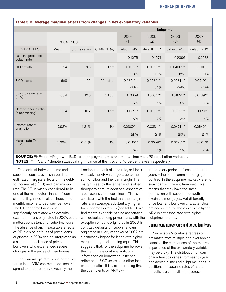| Table 3.B: Average marginal effects from changes in key explanatory variables |             |                |            |                 |              |              |              |  |
|-------------------------------------------------------------------------------|-------------|----------------|------------|-----------------|--------------|--------------|--------------|--|
|                                                                               |             |                |            | <b>Subprime</b> |              |              |              |  |
|                                                                               | 2004 - 2007 |                |            | 2004<br>(1)     | 2005<br>(2)  | 2006<br>(3)  | 2007<br>(4)  |  |
| <b>VARIABLES</b>                                                              | Mean        | Std. deviation | CHANGE (+) | default in12    | default_in12 | default in12 | default_in12 |  |
| baseline predicted<br>default rate                                            |             |                |            | 0.1075          | 0.1571       | 0.2396       | 0.2538       |  |
| HPI growth                                                                    | 5.4         | 9.6            | 10 ppt     | $-0.0189*$      | $-0.0163***$ | $-0.0406***$ | $-0.0010$    |  |
|                                                                               |             |                |            | $-18%$          | $-10%$       | $-17%$       | 0%           |  |
| FICO score                                                                    | 608         | 55             | 50 points  | $-0.0351***$    | $-0.0532***$ | $-0.0581***$ | $-0.0519***$ |  |
|                                                                               |             |                |            | $-33%$          | $-34%$       | $-24%$       | $-20%$       |  |
| Loan to value ratio<br>(LTV)                                                  | 80.4        | 12.6           | 10 ppt     | 0.0059          | $0.0084***$  | $0.0189***$  | $0.0189***$  |  |
|                                                                               |             |                |            | 5%              | 5%           | 8%           | 7%           |  |
| Debt to income ratio<br>(if not missing)                                      | 39.4        | 10.7           | 10 ppt     | $0.0069**$      | $0.0108***$  | $0.0066**$   | $0.0095**$   |  |
|                                                                               |             |                |            | 6%              | 7%           | 3%           | 4%           |  |
| Interest rate at<br>origination                                               | 7.93%       | 1.31%          | 1%         | $0.0302***$     | $0.0331***$  | $0.0471***$  | $0.0542***$  |  |
|                                                                               |             |                |            | 28%             | 21%          | 20%          | 21%          |  |
| Margin rate (0 if<br>FRM)                                                     | 5.39%       | 0.72%          | 1%         | $0.0112**$      | $0.0059**$   | $0.0125***$  | $-0.0101$    |  |
|                                                                               |             |                |            | 10%             | 4%           | 5%           | $-4%$        |  |

**SOURCE:** FHFA for HPI growth, BLS for unemployment rate and median income, LPS for all other variables. **NOTES:** \*\*\*, \*\*, and \* denote statistical significance at the 1, 5, and 10 percent levels, respectively.

The contrast between prime and subprime loans is even sharper in the estimated marginal effects on the debtto-income ratio (DTI) and loan margin rate. The DTI is widely considered to be one of the main determinants of loan affordability, since it relates household monthly income to debt service flows. The DTI for prime loans is not significantly correlated with defaults, except for loans originated in 2007, but it matters consistently for subprime loans. The absence of any measurable effects of DTI even on defaults of prime loans originated in 2006 can be interpreted as a sign of the resilience of prime borrowers who experienced severe changes in the prices of their homes.

The loan margin rate is one of the key terms in an ARM contract. It defines the spread to a reference rate (usually the

London interbank offered rate, or Libor). At reset, the ARM rate goes up to the sum of Libor and the loan margin. The margin is set by the lender, and is often thought to capture additional aspects of a borrower's creditworthiness. This is consistent with the fact that the margin rate is, on average, substantially higher for subprime borrowers (see table 1). We find that this variable has no association with defaults among prime loans, with the exception of loans originated in 2006. In contrast, defaults on subprime loans originated in every year except 2007 are significantly higher for loans with higher margin rates, all else being equal. This suggests that, for the subprime borrower, the margin rate contains additional information on borrower quality not reflected in FICO scores and other loan characteristics. It is also interesting that the coefficients on ARMs with

introductory periods of less than three years – the most common mortgage contract in the subprime market – are not significantly different from zero. This means that they have the same correlation with subprime defaults as fixed-rate mortgages. Put differently, once loan and borrower characteristics are accounted for, the choice of a hybrid ARM is not associated with higher subprime defaults.

#### Comparisons across years and across loan types

Since table 2 contains regression estimates from multiple non-overlapping samples, the comparison of the relative importance of the explanatory variables may be tricky. The distribution of loan characteristics varies from year to year and across prime and subprime loans. In addition, the baseline rates of actual defaults are quite different across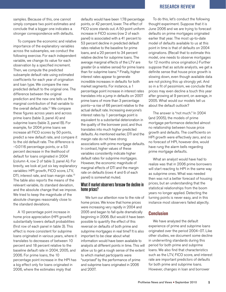samples. Because of this, one cannot simply compare two point estimates and conclude that a bigger one indicates a stronger correspondence with defaults.

To compare the economic and relative importance of the explanatory variables across the subsamples, we conduct the following exercise. For each independent variable, we change its value for each observation by a specified increment. Then, we compute the predicted subsample default rate using estimated coefficients for each year of origination and loan type. We compare the new predicted default to the original one. The difference between the original prediction and the new one tells us the marginal contribution of that variable to the overall default rate.<sup>12</sup> We compare these figures across years and across prime loans (table 3, panel A) and subprime loans (table 3, panel B). For example, for 2004 prime loans we increase all FICO scores by 50 points, predict a new default rate, and compare it to the old default rate. The difference is –0.0116 percentage points, or a 53 percent decrease in the likelihood of default for loans originated in 2004 (column 4, row 2 of table 3, panel A). For brevity, we look at just six key explanatory variables: HPI growth, FICO score, LTV, DTI, interest rate, and loan margin rate.<sup>13</sup> The table also reports the means of the relevant variable, its standard deviation, and the absolute change that we impose. We tried to keep the magnitude of the absolute changes reasonably close to the standard deviations.

A 10 percentage point increase in home price appreciation (HPI growth) substantially lowers default probabilities (first row of each panel in table 3). This effect is more consistent for subprime loans originated in various years, where it translates to decreases of between 10 percent and 18 percent relative to the baseline default rate in 2004, 2005, and 2006. For prime loans, the 10 percentage point increase in the HPI has a big effect only for loans originated in 2006, where the estimates imply that

defaults would have been 1.78 percentage points, or 42 percent, lower. The effect of FICO score stands out. A 50-point uniform increase in FICO scores (row 2 of each panel) is associated with a 41 percent to 53 percent decline in predicted default rates relative to the baseline for prime loans, and a 20 percent to 34 percent relative decline for subprime loans. The average marginal effects of the LTV are greater (in a relative sense) for prime loans than for subprime loans.<sup>14</sup> Finally, higher interest rates appear to generate incredible increases in defaults for both market segments. For instance, a 1 percentage point increase in interest rates translates into a jump in defaults on 2007 prime loans of more than 3 percentage points—a rise of 66 percent relative to the actual default rate. Increasing everyone's interest rates by 1 percentage point is equivalent to a substantial deterioration in the quality of the borrower pool, and thus translates into much higher predicted defaults. As mentioned earlier, DTI and the margin rate do not have strong associations with prime mortgage defaults. In contrast, higher values of these variables consistently indicate higher default rates for subprime mortgages. However, the economic magnitude of marginal effects of DTI and the margin rate on defaults (rows 4 and 6 of each panel) is somewhat muted.

#### What if market observers foresaw the decline in home prices?

We turn our attention now to the role of home prices. We know that home prices were increasing very rapidly in 2004 and 2005 and began to fall quite dramatically beginning in 2006. But would it have been possible to quantify the effect of this reversal on defaults of both prime and subprime mortgages in real time? It is also important to be clear about what information would have been available to analysts at different points in time. This will allow us to get a rough sense of the extent to which market participants were "surprised" by the performance of prime and subprime loans originated in 2006 and 2007.

#### **RESEARCH REVIEW**

To do this, let's conduct the following thought experiment. Suppose that it is June 2006 and we are trying to forecast defaults on prime mortgages originated earlier that year. The most up-to-date model of defaults available to us at this point in time is that of defaults on 2004 originations. (Recall that to estimate this model, one needs to observe mortgages for 12 months since origination.) Further suppose that as astute analysts, we get a definite sense that house price growth is slowing down, even though available data are not picking this up strongly yet. And so in a fit of pessimism, we conclude that prices may even decline a touch this year after growing at 9 percent, on average, in 2005. What would our models tell us about the default outlook?

The answer is "not much." In 2004 (and 2005), the models of prime mortgage performance detected almost no relationship between house price growth and defaults. The coefficients on HPI growth were effectively zero, and so no forecast of HPI, however dire, would have rung the alarm bells regarding prime mortgage defaults.

What an analyst would have had to realize was that in 2006 prime borrowers will start reacting to HPI in the same way as subprime ones. What was needed then was not a better forecast of housing prices, but an understanding that the statistical relationships from the boom years no longer applied. Detecting the turning points is never easy, and in this instance most observers failed abjectly.

#### **Conclusion**

We have analyzed the default experience of prime and subprime loans originated over the period 2004–07. Like other studies, we document some decline in underwriting standards during this period for both prime and subprime loans. We also find that characteristics such as the LTV, FICO score, and interest rate are important predictors of defaults for both prime and subprime loans. However, changes in loan and borrower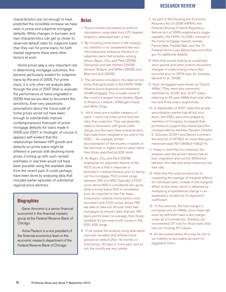characteristics are not enough to have predicted the incredible increase we have seen in prime and subprime mortgage defaults. While changes in borrower and loan characteristics can get us closer to observed default rates for subprime loans than they can for prime loans, for both market segments there were other factors at work.

Home prices play a very important role in determining mortgage outcomes; this became particularly evident for subprime loans by the end of 2005. For prime loans, it is only when we analyze data through the end of 2007 (that is, evaluate the performance of loans originated in 2006) that we are able to document this sensitivity. Even very pessimistic assumptions about the future path of home prices would not have been enough to substantially improve contemporaneous forecasts of prime mortgage defaults for loans made in 2006 and 2007. In hindsight, of course, it appears self-evident that the relationships between HPI growth and defaults on prime loans might be different in periods with declining home prices. Coming up with such revised estimates in real time would not have been possible using the available data from the recent past. It could, perhaps, have been done by analyzing data that included earlier episodes of substantial regional price declines.

#### **Biographies**

Gene Amromin is a senior financial economist in the financial markets group at the Federal Reserve Bank of Chicago.

Anna Paulson is a vice president of the financial economics team in the economic research department of the Federal Reserve Bank of Chicago.

#### **Notes**

- 1 These numbers are based on authors' calculations using data from LPS Applied Analytics, described later in text.
- 2 By including prime loans in the analysis, our intention is to complement the very informative and extensive literature on subprime loans that includes, among others, Bajari, Chu, and Park (2008); Demyanyk and Van Hemert (2009); Gerardi, Shapiro, and Willen (2008); and Mian and Sufi (2009).
- 3 The servicers included in the data set are those that participate in the HOPE NOW Alliance (www.hopenow.com/members. html#mortgage). This includes some of the country's largest home lenders: Bank of America, Citibank, JPMorgan Chase, and Wells Fargo.
- 4 Alt-A loans are a middle category of loans – more risky than prime and less risky than subprime. They are generally made to borrowers with good credit ratings, but the loans have characteristics that make them ineligible to be sold to the GSEs – for example, limited documentation of the income or assets of the borrower or higher loan-to-value ratios than those specified by GSE limits.
- 5 As Bajari, Chu, and Park (2008) emphasize, an important feature of the FICO score is that it measures a borrower's creditworthiness prior to taking out the mortgage. FICO scores range between 300 and 850. Typically, a FICO score above 800 is considered very good, while a score below 620 is considered poor. As reported on the Fair Isaac Corporation website (www.myfico.com), borrowers with FICO scores above 760 are able to take out 30-year fixed rate mortgages at interest rates that are 160 basis points lower, on average, than those available for borrowers with scores in the 620–639 range.
- 6 If we repeat the analysis using alternative outcome variables and different time periods (in default after 18 months, in foreclosure, 30 days or more past, and so on), the results are very similar.
- 7 As part of the Housing and Economic Recovery Act of 2008 (HERA), the Federal Housing Finance Regulatory Reform Act of 2008 established a single regulator, the FHFA, for GSEs involved in the home mortgage market, namely, Fannie Mae, Freddie Mac, and the 12 Federal Home Loan Banks (see www.fhfa. gov for additional details).
- 8 Note that we are looking at a relatively short period, and other authors document changes in underwriting criteria that occurred prior to 2004 (see, for example, Gerardi et al., 2008).
- 9 Such mortgages were known as "hybrid ARMs." They were also commonly identified as "2/28" and "3/27" loans, referring to 30-year ARMs that reset after two and three years, respectively.
- 10 In September of 2007 when the private securitization market had all but shut down, the GSEs were encouraged by members of Congress to expand their portfolios to support the market (see this correspondence between Senator Charles E. Schumer (D-NY) and Dennis Lockhart, the director of OFHEO, at www.ofheo.gov/ newsroom.aspx?ID=383&q1=0&q2=9.
- 11 Keep in mind that for simplicity, the analysis uses the actual interest rate at loan origination and not the difference between this rate and some reference risk free rate.
- 12 Note that this exercise amounts to computing the average of marginal effects for individual loans, instead of the marginal effect at the mean, which is obtained by multiplying a hypothetical change in an explanatory variable by its regression coefficient.
- 13 In this exercise, the loan margin is increased only for ARMs, since fixed rate loans by definition have a zero margin under all circumstances. Similarly, we incremented DTI only for those loans that had non-missing DTI values.
- 14 As discussed earlier, this may be due to our inability to accurately account for piggyback loans.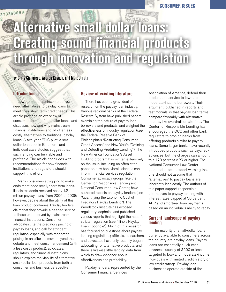## 27335069 **Alternative small dollar loans: Creating sound financial products through innovation and regulation**

#### by Chris Giangreco, Andrea Kovach, and Matt Unrath

#### **Introduction**

Low- to moderate-income borrowers need alternatives to payday loans to meet their short-term credit needs. This article provides an overview of consumer demand for smaller loans, and discusses how and why mainstream financial institutions should offer less costly alternatives to traditional payday loans. A two-year FDIC pilot, a smalldollar loan pool in Baltimore, and individual case studies suggest that such lending can be viable and profitable. The article concludes with recommendations for how financial institutions and regulators should support this effort

Many consumers struggling to make ends meet need small, short-term loans. Illinois residents received nearly 1.2 million payday loans<sup>1</sup> from 2006 to 2008; however, debate about the utility of this loan product continues. Payday lenders claim that they provide a needed service to those underserved by mainstream financial institutions. Consumer advocates cite the predatory pricing of payday loans, and call for stringent regulation, especially with respect to pricing. In an effort to move beyond this debate and meet consumer demand (with a less costly product), advocates, regulators, and financial institutions should explore the viability of alternative small-dollar loan products from both a consumer and business perspective.

#### **Review of existing literature**

There has been a great deal of research on the payday loan industry. Various regional banks of the Federal Reserve System have published papers examining the nature of payday loan borrowers and products, and weighed the effectiveness of industry regulation (see the Federal Reserve Bank of Philadelphia's "Restricting Consumer Credit Access" and New York's "Defining and Detecting Predatory Lending"). The New America Foundation's Asset Building program has written extensively on the issue, including an often cited paper on how behavioral sciences can inform financial services regulation. Consumer advocacy groups, like the Center for Responsible Lending and National Consumer Law Center, have authored reports on payday lenders (see "Quantifying the Economic Cost of Predatory Payday Lending"). The Woodstock Institute has exposed regulatory loopholes and published various reports that highlight the need for stricter regulation (see "Illinois Payday Loan Loophole"). Much of this research has focused on questions about payday lending regulations; officials, researchers, and advocates have only recently begun advocating for alternative products, and there is likewise little lending data from which to draw evidence about effectiveness and profitability.

Payday lenders, represented by the Consumer Financial Services

Association of America, defend their product and service to low- and moderate-income borrowers. Their argument, published in reports and testimonials, is that payday loan terms compare favorably with alternative options, like overdraft or late fees. The Center for Responsible Lending has encouraged the OCC and other bank regulators to prohibit banks from offering products similar to payday loans. Some larger banks have recently introduced products such as paycheck advances, but the charges can amount to a 120 percent APR or higher. The National Consumer Law Center authored a recent report warning that one should not assume that "alternatives" to payday loans are inherently less costly. The authors of this paper support responsible alternatives to payday lending with interest rates capped at 36 percent APR and amortized loan payments based on an individual's ability to repay.

**CONSUMER ISSUES**

#### **Current landscape of payday lending**

The majority of small-dollar loans currently available to consumers across the country are payday loans. Payday loans are essentially quick cash advances, usually of \$500 or less, targeted to low- and moderate-income individuals with limited credit history or low credit ratings. Payday loan businesses operate outside of the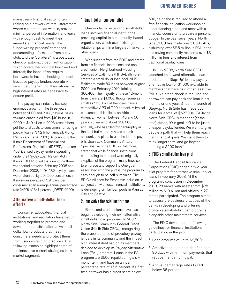mainstream financial sector, often relying on a network of retail storefronts, where customers can walk in, provide minimal personal information, and leave with enough cash to meet their immediate financial needs. The "underwriting process" comprises documenting information from a pay stub, and the "collateral" is a postdated check or automatic debit authorization, which covers the principal borrowed and interest; the loans often require borrowers to have a checking account. Because payday lenders operate with very little underwriting, they rationalize high interest rates as necessary to ensure profit.

The payday loan industry has seen enormous growth. In the three years between 2000 and 2003, national sales volumes quadrupled from \$10 billion in 2000 to \$40 billion in 2003; researchers put the total costs to consumers for using a payday loan at \$4.2 billion annually (King, Parrish and Tanik 2006). According to the Illinois Department of Financial and Professional Regulation (IDFPR), there are 403 licensed payday lenders operating under the Payday Loan Reform Act in Illinois. IDFPR found that during the threeyear period between February 2006 and December 2008, 1,194,582 payday loans were taken out by 204,205 consumers in Illinois—an average of 5.9 loans per consumer at an average annual percentage rate (APR) of 341 percent (IDFPR 2009).

#### **Alternative small-dollar loan efforts**

Consumer advocates, financial institutions, and regulators have begun working together to promote and develop responsible, alternative smalldollar loan products that meet consumers' needs and protect them from usurious lending practices. The following examples highlight some of the innovative current strategies in this market segment.

#### 1. Small-dollar loan pool pilot

One model for extending small-dollar loans involves financial institutions providing capital to a community-based organization, which uses existing relationships within a targeted market to offer loans.

With support from the FDIC and grants from six financial institutions and one credit union, Neighborhood Housing Services of Baltimore (NHS–Baltimore) created a small-dollar loan pool. NHS– Baltimore made 80 loans between August 2009 and February 2010, totaling \$60,400. The majority of these 12-month term loans are \$1,000, though some as small as \$500. All of the loans have a competitive APR of 7.99 percent. A typical consumer in this pilot is an African-American woman between 40 and 50 years old, earning about \$30,000 annually, who has filed for bankruptcy in the past but currently holds a bank account, and plans to use the loan to pay bills. Joan Lok, Community Affairs Specialist with the FDIC in Baltimore, stated that while financial institutions contributing to the pool were originally skeptical of the program, many have come to embrace and support it. One goal associated with the pilot is the program to earn enough to be self-sustaining. The FDIC's Alliance for Economic Inclusion, in conjunction with local financial institutions, is developing similar loan pools in Kansas City and Seattle.

#### 2. Innovative financial institutions

Banks and credit unions have also begun developing their own alternative small-dollar loan programs. In 2002, North Side Community Federal Credit Union (North Side CFCU), recognizing the preponderance of predatory payday lenders in its community and the impact high interest debt had on its members, decided to develop its Payday Alternative Loan (PAL) program. Loans in the PAL program are \$500, repaid during a sixmonth term, and have an annual percentage rate of 16.5 percent. If a firsttime borrower has a credit score below

600, he or she is required to attend a free financial education workshop on understanding credit and meet with a financial counselor to prepare a personal budget. In the past seven years, North Side CFCU has made over 5,000 PALs, disbursing over \$2.5 million in PAL loans and saving community residents over \$3 million in fees and interest from traditional payday loans.

In July 2008, North Side CFCU launched its newest alternative loan product, the "Step-Up" loan, a payday alternative loan of \$1,000 available to members that have paid off at least five PALs. No credit check is required and borrowers can pay back the loan in six months or one year. Since the launch of Step-up, North Side has made 527 loans for a total of \$527,000. Ed Jacob, North Side CFCU's manager (at the time) stated, "Our goal isn't to be just a cheaper payday lender. We want to give people a path that will help them reach their financial goals. We want them to think longer term, and go beyond needing a \$500 loan."

#### 3. FDIC's small-dollar loan pilot

The Federal Deposit Insurance Corporation (FDIC) began a two-year pilot program for alternative small-dollar loans in February 2008. At the program's conclusion in December 2010, 28 banks with assets from \$28 million to \$10 billion and offices in 27 states participated. The program aimed to assess the business practices of the banks in developing and offering profitable small-dollar loan programs alongside other mainstream services.

The FDIC developed the following guidelines for financial institutions participating in the pilot:

- Loan amounts of up to \$2,500;
- • Amortization loan periods of at least 90 days with minimum payments that reduce the loan principal;
- Annual percentage rates (APR) below 36 percent;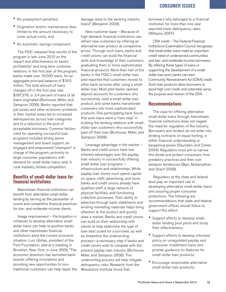**CONSUMER ISSUES**

- No prepayment penalties;
- Origination and/or maintenance fees limited to the amount necessary to cover actual costs; and
- **An automatic savings component.**

The FDIC released final results of the program in late June 2010 on the impact and effectiveness on banks' profitability2 and long-term customer relations. In the first year of the program, banks made over 16,000 loans, for an aggregate principal balance of \$18.5 million. The total amount of loans charged off in the first year was \$187,378, or 3.4 percent of loans of all loans originated (Burhouse, Miller, and Sampson 2009). Banks reported that job losses and other economic problems in their market areas led to increased delinquencies across loan categories and to a reduction in the pool of acceptable borrowers. Common factors cited for operating successful loan programs included strong senior management and board support; an engaged and empowered "champion" in charge of the program; proximity to large consumer populations with demand for small-dollar loans; and, in rural markets, limited competition.

#### **Benefits of small-dollar loans for financial institutions**

Mainstream financial institutions can benefit from alternative small-dollar lending by serving as the pacesetter of sound and competitive financial practices for low- and moderate-income clients.

Image improvement – Participation in initiatives to develop alternative smalldollar loans can help re-position banks and other mainstream financial institutions amid the current economic situation. Luis Ubiñas, president of the Ford Foundation, said at a meeting in Brooklyn, New York, in June 2009, "The economic downturn has tarnished bank brands; offering innovations and providing new opportunities to nontraditional customers can help repair the damage done to the banking industry brand" (Benjamin 2009).

New customer base – Because of high demand, financial institutions can attract new customers by offering an alternative loan product at competitive prices. Through such loans, banks and credit unions can build the financial skills and knowledge of their customers, graduating them to more sophisticated financial products. More than half of the banks in the FDIC's small-dollar loan pilot reported that customers moved to other bank services after using a smalldollar loan. Most pilot banks opened deposit accounts for customers who successfully used a small-dollar loan product, and some banks transitioned customers into more sophisticated products. One participating bank found that auto loans were a "next step" in building the lending relations with smalldollar loan customers who successfully paid off their loan (Burhouse, Miller, and Sampson 2008).

Leverage advantage in the market – Banks and credit unions have two inherent advantages over the payday loan industry in successfully offering small-dollar loan programs – infrastructure and relationships. While payday loan stores must spend capital on space, staff, advertising, and more, banks and credit unions already have qualified staff, a large network of physical facilities, and functioning collection processes. Their ability to advertise through bank statements and existing marketing materials helps bring attention to the product and quickly draw a market. Banks and credit unions can build on their relationship with clients to help determine the type of loan best suited for a borrower, as well as streamline the underwriting process—a necessary step if banks and credit unions wish to compete with the present payday loan industry (Burhouse, Miller, and Sampson 2008). This underwriting process will help mitigate delinquency risks. Research from the Woodstock Institute found that

borrowers who belonged to a financial institution for more than one year reported lower delinquency rates (Williams 2007).

CRA credit – The Federal Financial Institutions Examination Council recognizes that small-dollar loans meet an important credit need of underserved communities and low- and moderate-income borrowers. By offering these types of loans or supporting the development of a smalldollar loan pool, banks can earn Community Reinvestment Act (CRA) credit. Such loan products allow borrowers to avoid high cost credit, and ostensibly serve the purpose and mission of the CRA.

#### **Recommendations**

The case for offering alternative small-dollar loans through mainstream financial institutions does not negate the need for regulation of the industry. Borrowers and lenders do not enter into lending contracts on equal footing, in either financial understanding or bargaining power (Saunders and Cohen 2004). Regulation must aim to narrow this divide and protect consumers from predatory practices and their own behavior tendencies (Barr, Mullainathan, and Sharif 2008).

Regulators at the state and federal level play an important role in developing alternative small-dollar loans and assuring proper consumer protections. The following are recommendations that state and federal government offices should follow to support this effort:

- Support efforts to develop smalldollar lending pool pilots and study their effectiveness;
- • Support efforts to develop informed policy on unregulated payday and consumer installment loans and provide guidance on features for small-dollar loan products;
- Encourage responsible alternative small-dollar loan products;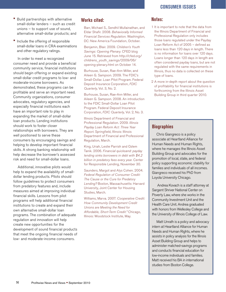- Build partnerships with alternative small-dollar lenders – such as credit unions – to support use of sound, alternative small-dollar products; and
- Include the offering of responsible small-dollar loans in CRA examinations and other regulatory ratings.

In order to meet a recognized consumer need and provide a beneficial community service, financial institutions should begin offering or expand existing small-dollar credit programs to low- and moderate-income borrowers. As demonstrated, these programs can be profitable and serve an important need. Community organizations, consumer advocates, regulatory agencies, and especially financial institutions each have an important role to play in expanding the market of small-dollar loan products. Lending institutions should work to foster closer relationships with borrowers. They are well positioned to serve these consumers by encouraging savings and helping to develop important financial skills. A strong banking relationship will help decrease the borrower's assessed risk and need for small-dollar loans.

Additional, innovative pilots would help to expand the availability of smalldollar lending products. Pilots should follow guidelines to protect consumers from predatory features and, include measures aimed at improving individual financial skills. Lessons from pilot programs will help additional financial institutions to create and expand their own alternative small-dollar loan programs. The combination of adequate regulation and innovation will help create new opportunities for the development of sound financial products that meet the ongoing financial needs of low- and moderate-income consumers.

#### **Works cited:**

Barr, Michael S., Sendhil Mullainathan, and Eldar Shafir. 2008. Behaviorally Informed Financial Services Regulation. Washington, DC: New America Foundation, October.

Benjamin, Blair. 2009. Children's Youth Savings: Opening Plenary. CFED blog June 15. Retrieved from http://cfed.org/ childrens\_youth\_savings/2009/06/ opening-plenary.html on October 14.

Burhouse, Susan, Rae-Ann Miller, and Aileen G. Sampson. 2009. The FDIC's Small-Dollar. Loan Pilot Program. Federal Deposit Insurance Corporation, FDIC Quarterly, Vol. 3, No. 2.

Burhouse, Susan, Rae-Ann Miller, and Aileen G. Sampson. 2008. An introduction to the FDIC Small-Dollar Loan Pilot Program. Federal Deposit Insurance Corporation, FDIC Quarterly, Vol. 2, No. 3.

Illinois Department of Financial and Professional Regulation. 2009. Illinois Payday Loan Reform Act: Three Year Report. Springfield, Illinois: Illinois Department of Financial and Professional Regulation, March.

King, Uriah, Leslie Parrish and Ozlem Tanik. 2006. Financial quicksand: payday lending sinks borrowers in debt with \$4.2 billion in predatory fees every year. Center for Responsible Lending, November 30.

Saunders, Margot and Alys Cohen. 2004. Federal Regulation of Consumer Credit: The Cause or the Cure for Predatory Lending? Boston, Massachusetts: Harvard University, Joint Center for Housing Studies, March.

Williams, Marva. 2007. Cooperative Credit: How Community Development Credit Unions are Meeting the Need for Affordable, Short-Term Credit." Chicago, Illinois: Woodstock Institute, May.

#### **Notes:**

- 1 It is important to note that the data from the Illinois Department of Financial and Professional Regulation only includes those loans regulated under the Payday Loan Reform Act of 2005 – defined as loans less than 120 days in length. There is no information for loans over 120 days. Loans longer than 120 days in length are often considered payday loans, but are not regulated with the same requirements in Illinois, thus no data is collected on these type of loans.
- 2 A more in-depth report about the question of profitability for financial institutions is forthcoming from the Illinois Asset Building Group in third quarter 2010.

#### **Biographies**

Chris Giangreco is a policy associate at Heartland Alliance for Human Needs and Human Rights, where he manages the Illinois Asset Building Group and advocates for the promotion of local, state, and federal policy supporting economic stability for families and individuals of all incomes. Giangreco received his PhD from Loyola University Chicago.

 Andrea Kovach is a staff attorney at Sargent Shriver National Center on Poverty Law, where she works in the Community Investment Unit and the Health Care Unit. Andrea graduated with honors from Wellesley College and the University of Illinois College of Law.

Matt Unrath is a policy and advocacy intern at Heartland Alliance for Human Needs and Human Rights, where he assists in policy analysis for the Illinois Asset Building Group and helps to administer matched-savings programs and conducts financial education for low-income individuals and families. Matt received his BA in international studies from Boston College.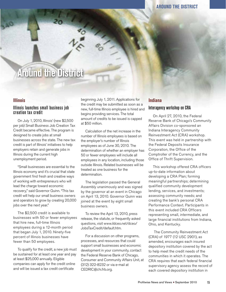### **Around the District**

#### **Illinois**

#### Illinois launches small business job creation tax credit

On July 1, 2010, Illinois' (new \$2,500 per job) Small Business Job Creation Tax Credit became effective. The program is designed to create jobs at small businesses across the state. The new tax credit is part of Illinois' initiatives to help employers retain and generate jobs in Illinois during the current high unemployment period.

"Small businesses are essential to the Illinois economy and it's crucial that state government find fresh and creative ways of working with entrepreneurs who will lead the charge toward economic recovery," said Governor Quinn. "This tax credit will help our small business owners and operators to grow by creating 20,000 jobs over the next year."

The \$2,500 credit is available to businesses with 50 or fewer employees that hire new, full-time Illinois employees during a 12-month period that began July 1, 2010. Ninety-five percent of Illinois businesses have fewer than 50 employees.

To qualify for the credit, a new job must be sustained for at least one year and pay at least \$25,000 annually. Eligible companies can apply for the credit online and will be issued a tax credit certificate

beginning July 1, 2011. Applications for the credit may be submitted as soon as a new, full-time Illinois employee is hired and begins providing services. The total amount of credits to be issued is capped at \$50 million.

Calculation of the net increase in the number of Illinois employees is based on the employer's number of Illinois employees as of June 30, 2010. The determination of whether an employer has 50 or fewer employees will include all employees in any location, including those outside Illinois. Related businesses will be treated as one business for the determination.

The legislation passed the General Assembly unanimously and was signed by the governor at an event in Chicago on April 13, 2010. Governor Quinn was joined at the event by eight small business owners.

To review the April 13, 2010, press release, the statute, or frequently asked questions, visit www.ildceo.net/dceo/ JobsTaxCredit/default.htm.

For a discussion on other programs, processes, and resources that could support small businesses and economic development in your community, contact the Federal Reserve Bank of Chicago, Consumer and Community Affairs Unit, at (312) 322-8232 or via e-mail at CEDRIC@chi.frb.org.

#### **Indiana** Interagency workshop on CRA

On April 27, 2010, the Federal Reserve Bank of Chicago's Community Affairs Division co-sponsored an Indiana Interagency Community Reinvestment Act (CRA) workshop. This event was held in partnership with the Federal Deposits Insurance Corporation, the Office of the Comptroller of the Currency, and the Office of Thrift Supervision.

This workshop offered CRA officers up-to-date information about developing a CRA Plan; forming meaningful partnerships; determining qualified community development lending, services, and investments; assessing community needs; and creating the bank's personal CRA Performance Context. Participants in this event included CRA Officers representing small, intermediate, and large financial institutions from Indiana, Ohio, and Kentucky.

 The Community Reinvestment Act (CRA) of 1977 (12 USC 2901), as amended, encourages each insured depository institution covered by the act to help meet the credit needs of the communities in which it operates. The CRA requires that each federal financial supervisory agency assess the record of each covered depository institution in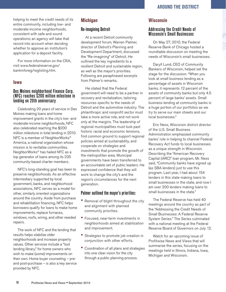helping to meet the credit needs of its entire community, including low- and moderate-income neighborhoods, consistent with safe and sound operations; an agency will take that record into account when deciding whether to approve an institution's application for a deposit facility.

For more information on the CRA, visit www.federalreserve.gov/ bankinforeg/reglisting.htm.

#### **Iowa**

#### Des Moines neighborhood Finance Corp. (NFC) reaches \$200 million milestone in lending on 20th anniversary

Celebrating 20 years of service in Des Moines making loans and home improvement grants in the city's low- and moderate-income neighborhoods, NFC also celebrated reaching the \$200 million milestone in total lending in 2010. NFC is a member of NeighborWorks® America, a national organization whose mission is to revitalize communities. NeighborWorks® has hailed NFC as a top generator of loans among its 235 community-based charter members.

NFC's long-standing goal has been to preserve neighborhoods. As an effective intermediary supported by local government, banks, and neighborhood associations, NFC serves as a model for other, similarly oriented organizations around the country. Aside from purchase and rehabilitation financing, NFC helps borrowers qualify for loans to make home improvements, replace furnaces, windows, roofs, wiring, and other needed repairs.

The work of NFC and the lending that results helps stabilize older neighborhoods and increase property values. Other services include a "tool lending library," for home owners who wish to make (some) improvements on their own. Home buyer counseling – preand post-purchase – is also a key service provided by NFC.

#### **Michigan**

#### Re-imagining Detroit

At a recent Detroit community development forum, Warren Palmer, director of Detroit's Planning and Development Department, discussed the "Re-imagining" of Detroit. He outlined the key ingredients to a resilient Detroit and sustainable region, as well as the mayor's priorities. Following are paraphrased excerpts from Palmer's remarks.

He stated that the Federal government will need to be a partner in recovery and revitalization, tailoring resources specific to the needs of Detroit and the automotive industry. The philanthropic and nonprofit sector must take a more active role, and not work only at the margins. The leadership of regional municipalities must look past historic racial and economic tensions, find common ground to support regional policies aimed at sustainability, and cooperate on strategies and investments that promote the growth of the metropolitan area. Municipal governments have been transferred to an accountable set of public leaders. He expressed confidence that they will work to change the city's and the region's circumstances for the next generation.

#### Palmer outlined the mayor's priorities:

- Removal of blight throughout the city and alignment with planned community priorities.
- **Focused, near-term investments in** neighborhoods aimed at stabilization and improvement.
- **•** Strategies to promote job creation in conjunction with other efforts.
- Coordination of all plans and strategies into one clear vision for the city through a public planning process.

#### **Wisconsin**

#### Addressing the Credit Needs of Wisconsin's Small Businesses

On May 27, 2010, the Federal Reserve Bank of Chicago hosted a roundtable discussion on meeting the needs of Wisconsin's small businesses.

Daryll Lund, CEO of Community Bankers of Wisconsin, helped set the stage for the discussion. "When you look at small business lending as a percentage of assets in Wisconsin banks, it represents 12 percent of the assets of community banks but only 4.5 percent of large banks' assets. Small business lending at community banks is a huge portion of our portfolios as we try to serve our main streets and our local businesses."

Eric Ness, Wisconsin district director of the U.S. Small Business Administration emphasized community banks' role in helping to channel Federal Recovery Act funds to local businesses as a unique strength in Wisconsin. Describing the "American Recovery Capital (ARC)" loan program, Mr. Ness said, "Community banks have signed up (as SBA lenders) just to use this program. Last year, I had about 154 lenders in this state making loans to small businesses in the state, and now I am over 200 lenders making loans to small businesses in the state."

The Federal Reserve has held 40 meetings around the country as part of the "Addressing the Credit Needs of Small Businesses: A Federal Reserve System Series." The Series culminated with a national meeting at the Federal Reserve Board of Governors on July 12.

Watch for an upcoming issue of Profitwise News and Views that will summarize the series, focusing on the meetings held in Illinois, Indiana, Iowa, Michigan and Wisconsin.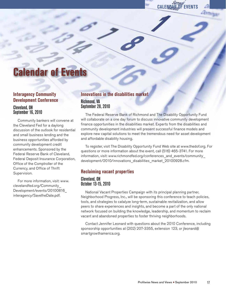

### **Calendar of Events**

#### **Interagency Community Development Conference**

#### Cleveland, OH September 16, 2010

Community bankers will convene at the Cleveland Fed for a daylong discussion of the outlook for residential and small business lending and the business opportunities afforded by community development credit enhancements. Sponsored by the Federal Reserve Bank of Cleveland, Federal Deposit Insurance Corporation, Office of the Comptroller of the Currency, and Office of Thrift Supervision.

For more information, visit: www. clevelandfed.org/Community\_ Development/events/20100816\_ interagency/SavetheDate.pdf.

#### **Innovations in the disabilities market**

Richmond, VA September 28, 2010

The Federal Reserve Bank of Richmond and The Disability Opportunity Fund will collaborate on a one day forum to discuss innovative community development finance opportunities in the disabilities market. Experts from the disabilities and community development industries will present successful finance models and explore new capital solutions to meet the tremendous need for asset development and affordable disability housing.

To register, visit The Disability Opportunity Fund Web site at www.thedof.org. For questions or more information about the event, call (516) 465-3741. For more information, visit: www.richmondfed.org/conferences\_and\_events/community\_ development/2010/innovations\_disabilities\_market\_20100928.cfm.

#### **Reclaiming vacant properties**

#### Cleveland, OH October 13-15, 2010

National Vacant Properties Campaign with its principal planning partner, Neighborhood Progress, Inc., will be sponsoring this conference to teach policies, tools, and strategies to catalyze long-term, sustainable revitalization, and allow peers to share experiences and insights, and become a part of the only national network focused on building the knowledge, leadership, and momentum to reclaim vacant and abandoned properties to foster thriving neighborhoods.

Contact Jennifer Leonard with questions about the 2010 Conference, including sponsorship opportunities at (202) 207-3355, extension 123, or jleonard@ smartgrowthamerica.org.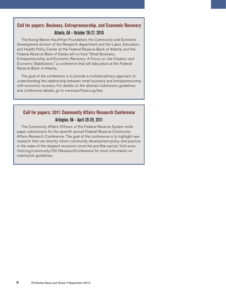#### **Call for papers: Business, Entrepreneurship, and Economic Recovery**  Atlanta, GA – October 26-27, 2010

The Ewing Marion Kauffman Foundation; the Community and Economic Development division of the Research department and the Labor, Education, and Health Policy Center at the Federal Reserve Bank of Atlanta; and the Federal Reserve Bank of Dallas will co-host "Small Business, Entrepreneurship, and Economic Recovery: A Focus on Job Creation and Economic Stabilization," a conference that will take place at the Federal Reserve Bank of Atlanta.

The goal of the conference is to provide a multidisciplinary approach to understanding the relationship between small business and entrepreneurship with economic recovery. For details on the abstract submission guidelines and conference details, go to www.kauffman.org/sbe.

#### **Call for papers: 2011 Community Affairs Research Conference** Arlington, VA – April 28-29, 2011

The Community Affairs Officers of the Federal Reserve System invite paper submissions for the seventh annual Federal Reserve Community Affairs Research Conference. The goal of the conference is to highlight new research that can directly inform community development policy and practice in the wake of the deepest recession since the pre-War period. Visit www. frbsf.org/community/2011ResearchConference for more information on submission guidelines.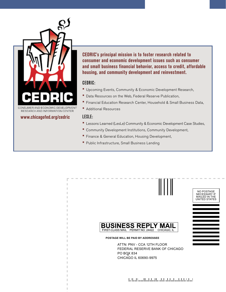

**www.chicagofed.org/cedric**

**CEDRIC's principal mission is to foster research related to consumer and economic development issues such as consumer and small business financial behavior, access to credit, affordable housing, and community development and reinvestment.**

#### CEDRIC:

- **Upcoming Events, Community & Economic Development Research,**
- Data Resources on the Web, Federal Reserve Publication,
- **Financial Education Research Center, Household & Small Business Data,**
- **Additional Resources**

#### LESLE:

- **Lessons Learned (LesLe) Community & Economic Development Case Studies,**
- • Community Development Institutions, Community Development,
- **Finance & General Education, Housing Development,**
- Public Infrastructure, Small Business Lending



NO POSTAGE NECESSARY IF MAILED IN THE UNITED ST



#### **POSTAGE WILL BE PAID BY ADDRESSEE**

ATTN: PNV - CCA 12TH FLOOR FEDERAL RESERVE BANK OF CHICAGO PO BOX 834 CHICAGO IL 60690-9975

اتبانانانانان وانتانتان انتبارات المتواليت الملليا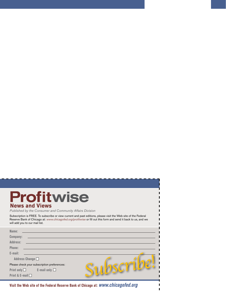### **Profitwise News and Views**

Published by the Consumer and Community Affairs Division

Subscription is FREE. To subscribe or view current and past editions, please visit the Web site of the Federal Reserve Bank of Chicago at: www.chicagofed.org/profitwise or fill out this form and send it back to us, and we will add you to our mail list.

Г

 $\blacksquare$ 

| Name:                                         |  |
|-----------------------------------------------|--|
| Company:                                      |  |
| Address:                                      |  |
| Phone:                                        |  |
| E-mail:                                       |  |
| Address Change                                |  |
| Please check your subscription preferences:   |  |
| Print only $\square$<br>E-mail only $\square$ |  |
| Print & E-mail $\Box$                         |  |

**Visit the Web site of the Federal Reserve Bank of Chicago at: www.chicagofed.org**